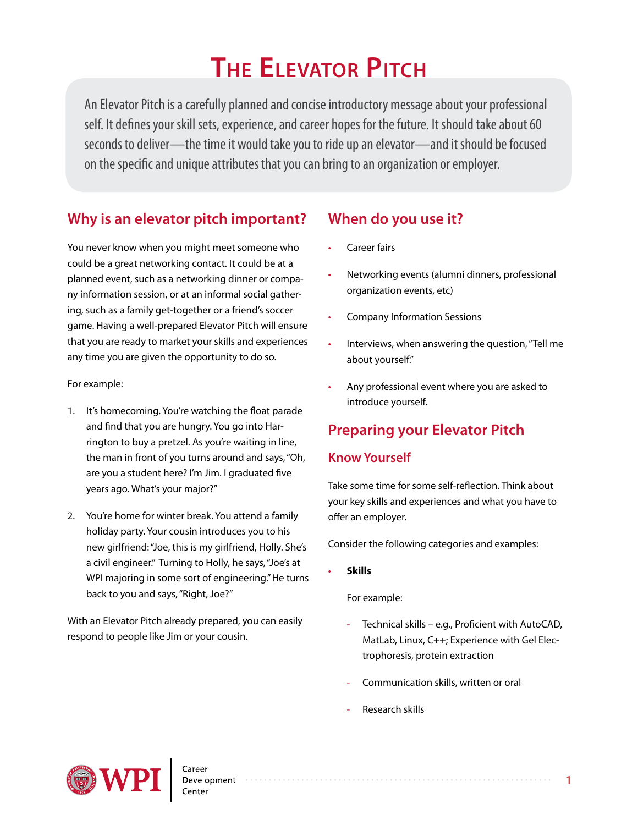# **The Elevator Pitch**

An Elevator Pitch is a carefully planned and concise introductory message about your professional self. It defines your skill sets, experience, and career hopes for the future. It should take about 60 seconds to deliver—the time it would take you to ride up an elevator—and it should be focused on the specific and unique attributes that you can bring to an organization or employer.

## **Why is an elevator pitch important?**

You never know when you might meet someone who could be a great networking contact. It could be at a planned event, such as a networking dinner or company information session, or at an informal social gathering, such as a family get-together or a friend's soccer game. Having a well-prepared Elevator Pitch will ensure that you are ready to market your skills and experiences any time you are given the opportunity to do so.

For example:

- 1. It's homecoming. You're watching the float parade and find that you are hungry. You go into Harrington to buy a pretzel. As you're waiting in line, the man in front of you turns around and says, "Oh, are you a student here? I'm Jim. I graduated five years ago. What's your major?"
- 2. You're home for winter break. You attend a family holiday party. Your cousin introduces you to his new girlfriend: "Joe, this is my girlfriend, Holly. She's a civil engineer." Turning to Holly, he says, "Joe's at WPI majoring in some sort of engineering." He turns back to you and says, "Right, Joe?"

With an Elevator Pitch already prepared, you can easily respond to people like Jim or your cousin.

## **When do you use it?**

- **Career fairs**
- Networking events (alumni dinners, professional organization events, etc)
- Company Information Sessions
- Interviews, when answering the question, "Tell me about yourself."
- Any professional event where you are asked to introduce yourself.

## **Preparing your Elevator Pitch**

### **Know Yourself**

Take some time for some self-reflection. Think about your key skills and experiences and what you have to offer an employer.

Consider the following categories and examples:

• **Skills**

For example:

- Technical skills e.g., Proficient with AutoCAD, MatLab, Linux, C++; Experience with Gel Electrophoresis, protein extraction
- Communication skills, written or oral
- Research skills

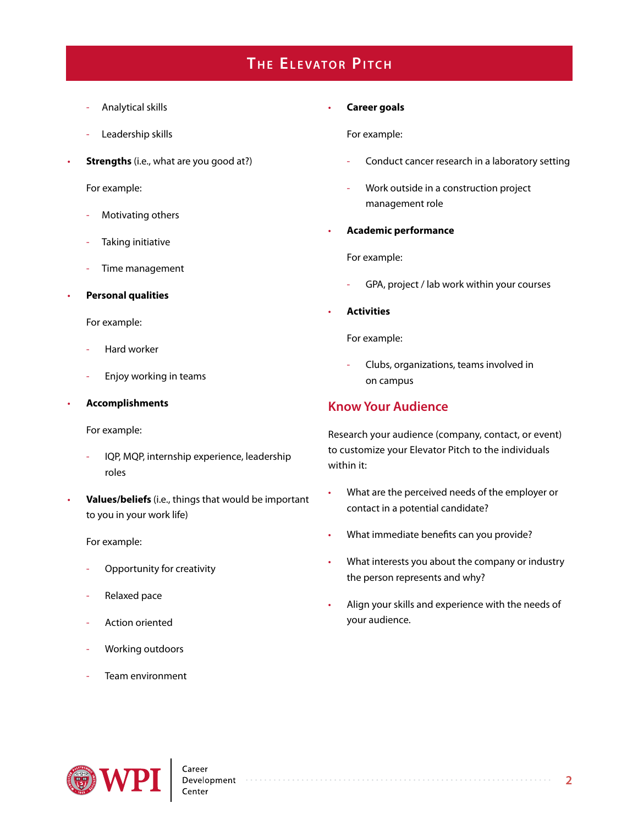# **THE ELEVATOR PITCH**

- Analytical skills
- Leadership skills
- **Strengths** (i.e., what are you good at?)

For example:

- Motivating others
- Taking initiative
- Time management
- **Personal qualities**

For example:

- Hard worker
- Enjoy working in teams

#### • **Accomplishments**

For example:

- IQP, MQP, internship experience, leadership roles
- **Values/beliefs** (i.e., things that would be important to you in your work life)

For example:

- Opportunity for creativity
- Relaxed pace
- Action oriented
- Working outdoors
- Team environment

#### • **Career goals**

For example:

- Conduct cancer research in a laboratory setting
- Work outside in a construction project management role
- **Academic performance**

For example:

- GPA, project / lab work within your courses
- **Activities**

For example:

- Clubs, organizations, teams involved in on campus

### **Know Your Audience**

Research your audience (company, contact, or event) to customize your Elevator Pitch to the individuals within it:

- What are the perceived needs of the employer or contact in a potential candidate?
- What immediate benefits can you provide?

- What interests you about the company or industry the person represents and why?
- Align your skills and experience with the needs of your audience.

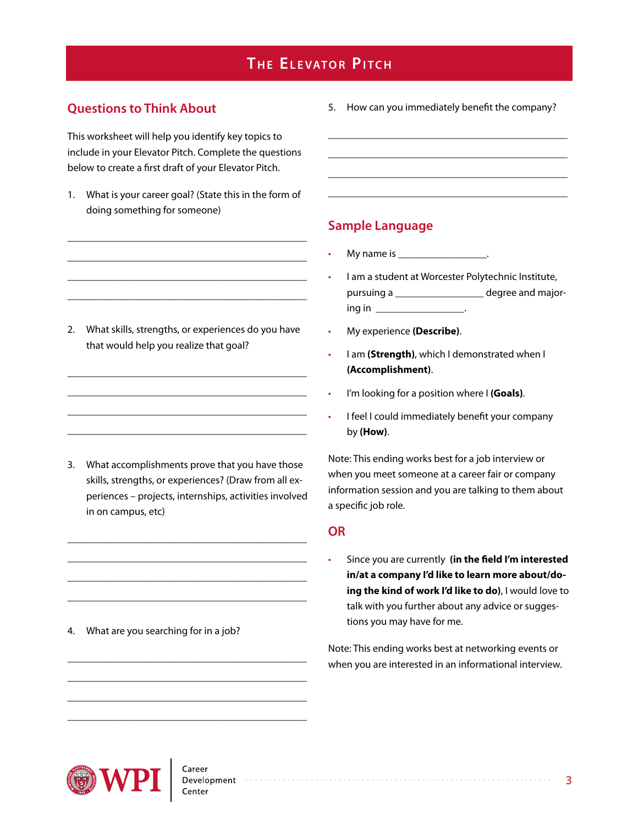# **THE ELEVATOR PITCH**

#### **Questions to Think About**

This worksheet will help you identify key topics to include in your Elevator Pitch. Complete the questions below to create a first draft of your Elevator Pitch.

1. What is your career goal? (State this in the form of doing something for someone)

\_\_\_\_\_\_\_\_\_\_\_\_\_\_\_\_\_\_\_\_\_\_\_\_\_\_\_\_\_\_\_\_\_\_\_\_\_\_\_\_\_\_\_\_\_\_ \_\_\_\_\_\_\_\_\_\_\_\_\_\_\_\_\_\_\_\_\_\_\_\_\_\_\_\_\_\_\_\_\_\_\_\_\_\_\_\_\_\_\_\_\_\_ \_\_\_\_\_\_\_\_\_\_\_\_\_\_\_\_\_\_\_\_\_\_\_\_\_\_\_\_\_\_\_\_\_\_\_\_\_\_\_\_\_\_\_\_\_\_ \_\_\_\_\_\_\_\_\_\_\_\_\_\_\_\_\_\_\_\_\_\_\_\_\_\_\_\_\_\_\_\_\_\_\_\_\_\_\_\_\_\_\_\_\_\_

2. What skills, strengths, or experiences do you have that would help you realize that goal?

\_\_\_\_\_\_\_\_\_\_\_\_\_\_\_\_\_\_\_\_\_\_\_\_\_\_\_\_\_\_\_\_\_\_\_\_\_\_\_\_\_\_\_\_\_\_ \_\_\_\_\_\_\_\_\_\_\_\_\_\_\_\_\_\_\_\_\_\_\_\_\_\_\_\_\_\_\_\_\_\_\_\_\_\_\_\_\_\_\_\_\_\_ \_\_\_\_\_\_\_\_\_\_\_\_\_\_\_\_\_\_\_\_\_\_\_\_\_\_\_\_\_\_\_\_\_\_\_\_\_\_\_\_\_\_\_\_\_\_ \_\_\_\_\_\_\_\_\_\_\_\_\_\_\_\_\_\_\_\_\_\_\_\_\_\_\_\_\_\_\_\_\_\_\_\_\_\_\_\_\_\_\_\_\_\_

3. What accomplishments prove that you have those skills, strengths, or experiences? (Draw from all experiences – projects, internships, activities involved in on campus, etc)

\_\_\_\_\_\_\_\_\_\_\_\_\_\_\_\_\_\_\_\_\_\_\_\_\_\_\_\_\_\_\_\_\_\_\_\_\_\_\_\_\_\_\_\_\_\_ \_\_\_\_\_\_\_\_\_\_\_\_\_\_\_\_\_\_\_\_\_\_\_\_\_\_\_\_\_\_\_\_\_\_\_\_\_\_\_\_\_\_\_\_\_\_ \_\_\_\_\_\_\_\_\_\_\_\_\_\_\_\_\_\_\_\_\_\_\_\_\_\_\_\_\_\_\_\_\_\_\_\_\_\_\_\_\_\_\_\_\_\_ \_\_\_\_\_\_\_\_\_\_\_\_\_\_\_\_\_\_\_\_\_\_\_\_\_\_\_\_\_\_\_\_\_\_\_\_\_\_\_\_\_\_\_\_\_\_

\_\_\_\_\_\_\_\_\_\_\_\_\_\_\_\_\_\_\_\_\_\_\_\_\_\_\_\_\_\_\_\_\_\_\_\_\_\_\_\_\_\_\_\_\_\_ \_\_\_\_\_\_\_\_\_\_\_\_\_\_\_\_\_\_\_\_\_\_\_\_\_\_\_\_\_\_\_\_\_\_\_\_\_\_\_\_\_\_\_\_\_\_ \_\_\_\_\_\_\_\_\_\_\_\_\_\_\_\_\_\_\_\_\_\_\_\_\_\_\_\_\_\_\_\_\_\_\_\_\_\_\_\_\_\_\_\_\_\_ \_\_\_\_\_\_\_\_\_\_\_\_\_\_\_\_\_\_\_\_\_\_\_\_\_\_\_\_\_\_\_\_\_\_\_\_\_\_\_\_\_\_\_\_\_\_

4. What are you searching for in a job?

5. How can you immediately benefit the company?

\_\_\_\_\_\_\_\_\_\_\_\_\_\_\_\_\_\_\_\_\_\_\_\_\_\_\_\_\_\_\_\_\_\_\_\_\_\_\_\_\_\_\_\_\_\_ \_\_\_\_\_\_\_\_\_\_\_\_\_\_\_\_\_\_\_\_\_\_\_\_\_\_\_\_\_\_\_\_\_\_\_\_\_\_\_\_\_\_\_\_\_\_ \_\_\_\_\_\_\_\_\_\_\_\_\_\_\_\_\_\_\_\_\_\_\_\_\_\_\_\_\_\_\_\_\_\_\_\_\_\_\_\_\_\_\_\_\_\_ \_\_\_\_\_\_\_\_\_\_\_\_\_\_\_\_\_\_\_\_\_\_\_\_\_\_\_\_\_\_\_\_\_\_\_\_\_\_\_\_\_\_\_\_\_\_

#### **Sample Language**

- My name is \_\_\_\_\_\_\_\_\_\_\_\_\_\_\_\_\_\_\_\_.
- I am a student at Worcester Polytechnic Institute, pursuing a \_\_\_\_\_\_\_\_\_\_\_\_\_\_\_\_\_\_\_ degree and majoring in \_\_\_\_\_\_\_\_\_\_\_\_\_\_\_\_\_\_\_\_\_\_\_.
- My experience **(Describe)**.
- I am **(Strength)**, which I demonstrated when I **(Accomplishment)**.
- I'm looking for a position where I **(Goals)**.
- I feel I could immediately benefit your company by **(How)**.

Note: This ending works best for a job interview or when you meet someone at a career fair or company information session and you are talking to them about a specific job role.

#### **OR**

• Since you are currently **(in the field I'm interested in/at a company I'd like to learn more about/doing the kind of work I'd like to do)**, I would love to talk with you further about any advice or suggestions you may have for me.

Note: This ending works best at networking events or when you are interested in an informational interview.